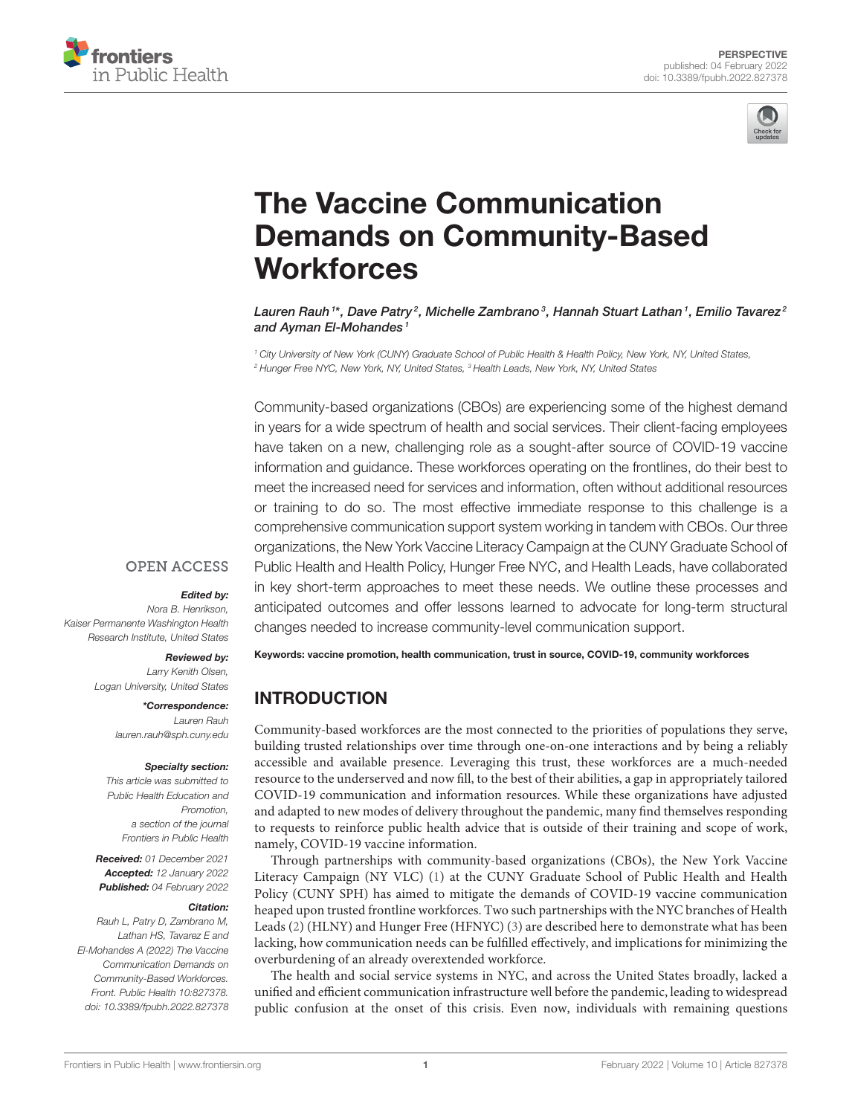



# The Vaccine Communication [Demands on Community-Based](https://www.frontiersin.org/articles/10.3389/fpubh.2022.827378/full) **Workforces**

Lauren Rauh  $^{\rm 1*}$ , Dave Patry  $^2$ , Michelle Zambrano  $^3$ , Hannah Stuart Lathan  $^1$ , Emilio Tavarez  $^2$ and Ayman El-Mohandes<sup>1</sup>

*<sup>1</sup> City University of New York (CUNY) Graduate School of Public Health & Health Policy, New York, NY, United States, <sup>2</sup> Hunger Free NYC, New York, NY, United States, <sup>3</sup> Health Leads, New York, NY, United States*

Community-based organizations (CBOs) are experiencing some of the highest demand in years for a wide spectrum of health and social services. Their client-facing employees have taken on a new, challenging role as a sought-after source of COVID-19 vaccine information and guidance. These workforces operating on the frontlines, do their best to meet the increased need for services and information, often without additional resources or training to do so. The most effective immediate response to this challenge is a comprehensive communication support system working in tandem with CBOs. Our three organizations, the New York Vaccine Literacy Campaign at the CUNY Graduate School of Public Health and Health Policy, Hunger Free NYC, and Health Leads, have collaborated in key short-term approaches to meet these needs. We outline these processes and anticipated outcomes and offer lessons learned to advocate for long-term structural

### **OPEN ACCESS**

#### Edited by:

*Nora B. Henrikson, Kaiser Permanente Washington Health Research Institute, United States*

### Reviewed by:

*Larry Kenith Olsen, Logan University, United States*

> \*Correspondence: *Lauren Rauh [lauren.rauh@sph.cuny.edu](mailto:lauren.rauh@sph.cuny.edu)*

#### Specialty section:

*This article was submitted to Public Health Education and Promotion, a section of the journal Frontiers in Public Health*

Received: *01 December 2021* Accepted: *12 January 2022* Published: *04 February 2022*

#### Citation:

*Rauh L, Patry D, Zambrano M, Lathan HS, Tavarez E and El-Mohandes A (2022) The Vaccine Communication Demands on Community-Based Workforces. Front. Public Health 10:827378. doi: [10.3389/fpubh.2022.827378](https://doi.org/10.3389/fpubh.2022.827378)* changes needed to increase community-level communication support.

Keywords: vaccine promotion, health communication, trust in source, COVID-19, community workforces

# INTRODUCTION

Community-based workforces are the most connected to the priorities of populations they serve, building trusted relationships over time through one-on-one interactions and by being a reliably accessible and available presence. Leveraging this trust, these workforces are a much-needed resource to the underserved and now fill, to the best of their abilities, a gap in appropriately tailored COVID-19 communication and information resources. While these organizations have adjusted and adapted to new modes of delivery throughout the pandemic, many find themselves responding to requests to reinforce public health advice that is outside of their training and scope of work, namely, COVID-19 vaccine information.

Through partnerships with community-based organizations (CBOs), the New York Vaccine Literacy Campaign (NY VLC) [\(1\)](#page-3-0) at the CUNY Graduate School of Public Health and Health Policy (CUNY SPH) has aimed to mitigate the demands of COVID-19 vaccine communication heaped upon trusted frontline workforces. Two such partnerships with the NYC branches of Health Leads [\(2\)](#page-3-1) (HLNY) and Hunger Free (HFNYC) [\(3\)](#page-3-2) are described here to demonstrate what has been lacking, how communication needs can be fulfilled effectively, and implications for minimizing the overburdening of an already overextended workforce.

The health and social service systems in NYC, and across the United States broadly, lacked a unified and efficient communication infrastructure well before the pandemic, leading to widespread public confusion at the onset of this crisis. Even now, individuals with remaining questions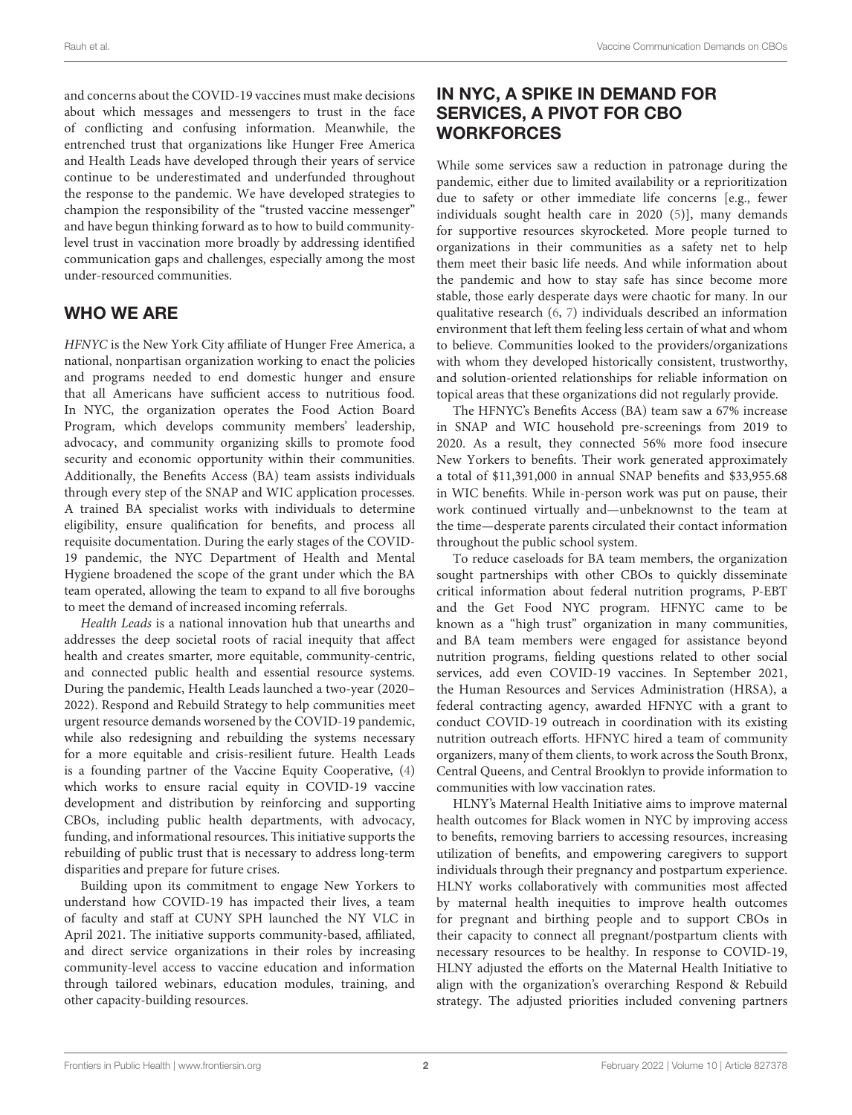and concerns about the COVID-19 vaccines must make decisions about which messages and messengers to trust in the face of conflicting and confusing information. Meanwhile, the entrenched trust that organizations like Hunger Free America and Health Leads have developed through their years of service continue to be underestimated and underfunded throughout the response to the pandemic. We have developed strategies to champion the responsibility of the "trusted vaccine messenger" and have begun thinking forward as to how to build communitylevel trust in vaccination more broadly by addressing identified communication gaps and challenges, especially among the most under-resourced communities.

# WHO WE ARE

HFNYC is the New York City affiliate of Hunger Free America, a national, nonpartisan organization working to enact the policies and programs needed to end domestic hunger and ensure that all Americans have sufficient access to nutritious food. In NYC, the organization operates the Food Action Board Program, which develops community members' leadership, advocacy, and community organizing skills to promote food security and economic opportunity within their communities. Additionally, the Benefits Access (BA) team assists individuals through every step of the SNAP and WIC application processes. A trained BA specialist works with individuals to determine eligibility, ensure qualification for benefits, and process all requisite documentation. During the early stages of the COVID-19 pandemic, the NYC Department of Health and Mental Hygiene broadened the scope of the grant under which the BA team operated, allowing the team to expand to all five boroughs to meet the demand of increased incoming referrals.

Health Leads is a national innovation hub that unearths and addresses the deep societal roots of racial inequity that affect health and creates smarter, more equitable, community-centric, and connected public health and essential resource systems. During the pandemic, Health Leads launched a two-year (2020– 2022). Respond and Rebuild Strategy to help communities meet urgent resource demands worsened by the COVID-19 pandemic, while also redesigning and rebuilding the systems necessary for a more equitable and crisis-resilient future. Health Leads is a founding partner of the Vaccine Equity Cooperative, [\(4\)](#page-3-3) which works to ensure racial equity in COVID-19 vaccine development and distribution by reinforcing and supporting CBOs, including public health departments, with advocacy, funding, and informational resources. This initiative supports the rebuilding of public trust that is necessary to address long-term disparities and prepare for future crises.

Building upon its commitment to engage New Yorkers to understand how COVID-19 has impacted their lives, a team of faculty and staff at CUNY SPH launched the NY VLC in April 2021. The initiative supports community-based, affiliated, and direct service organizations in their roles by increasing community-level access to vaccine education and information through tailored webinars, education modules, training, and other capacity-building resources.

# IN NYC, A SPIKE IN DEMAND FOR SERVICES, A PIVOT FOR CBO **WORKFORCES**

While some services saw a reduction in patronage during the pandemic, either due to limited availability or a reprioritization due to safety or other immediate life concerns [e.g., fewer individuals sought health care in 2020 [\(5\)](#page-3-4)], many demands for supportive resources skyrocketed. More people turned to organizations in their communities as a safety net to help them meet their basic life needs. And while information about the pandemic and how to stay safe has since become more stable, those early desperate days were chaotic for many. In our qualitative research [\(6,](#page-4-0) [7\)](#page-4-1) individuals described an information environment that left them feeling less certain of what and whom to believe. Communities looked to the providers/organizations with whom they developed historically consistent, trustworthy, and solution-oriented relationships for reliable information on topical areas that these organizations did not regularly provide.

The HFNYC's Benefits Access (BA) team saw a 67% increase in SNAP and WIC household pre-screenings from 2019 to 2020. As a result, they connected 56% more food insecure New Yorkers to benefits. Their work generated approximately a total of \$11,391,000 in annual SNAP benefits and \$33,955.68 in WIC benefits. While in-person work was put on pause, their work continued virtually and—unbeknownst to the team at the time—desperate parents circulated their contact information throughout the public school system.

To reduce caseloads for BA team members, the organization sought partnerships with other CBOs to quickly disseminate critical information about federal nutrition programs, P-EBT and the Get Food NYC program. HFNYC came to be known as a "high trust" organization in many communities, and BA team members were engaged for assistance beyond nutrition programs, fielding questions related to other social services, add even COVID-19 vaccines. In September 2021, the Human Resources and Services Administration (HRSA), a federal contracting agency, awarded HFNYC with a grant to conduct COVID-19 outreach in coordination with its existing nutrition outreach efforts. HFNYC hired a team of community organizers, many of them clients, to work across the South Bronx, Central Queens, and Central Brooklyn to provide information to communities with low vaccination rates.

HLNY's Maternal Health Initiative aims to improve maternal health outcomes for Black women in NYC by improving access to benefits, removing barriers to accessing resources, increasing utilization of benefits, and empowering caregivers to support individuals through their pregnancy and postpartum experience. HLNY works collaboratively with communities most affected by maternal health inequities to improve health outcomes for pregnant and birthing people and to support CBOs in their capacity to connect all pregnant/postpartum clients with necessary resources to be healthy. In response to COVID-19, HLNY adjusted the efforts on the Maternal Health Initiative to align with the organization's overarching Respond & Rebuild strategy. The adjusted priorities included convening partners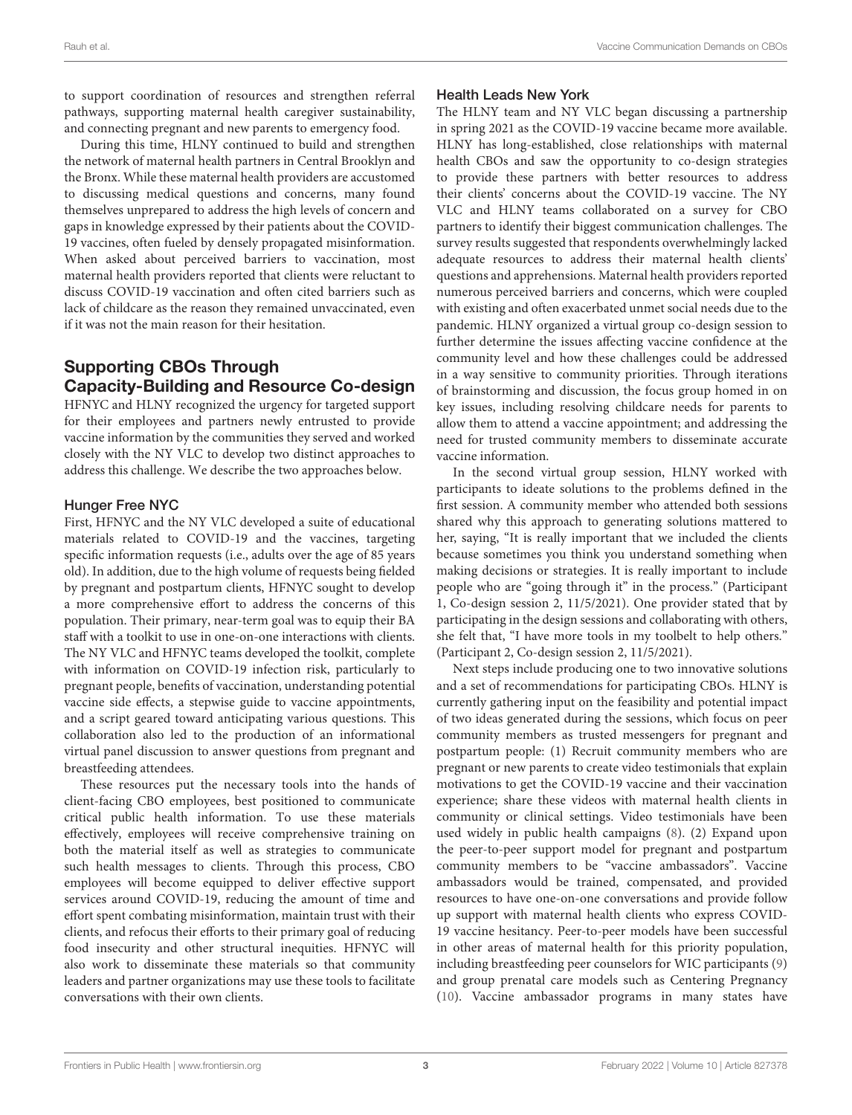to support coordination of resources and strengthen referral pathways, supporting maternal health caregiver sustainability, and connecting pregnant and new parents to emergency food.

During this time, HLNY continued to build and strengthen the network of maternal health partners in Central Brooklyn and the Bronx. While these maternal health providers are accustomed to discussing medical questions and concerns, many found themselves unprepared to address the high levels of concern and gaps in knowledge expressed by their patients about the COVID-19 vaccines, often fueled by densely propagated misinformation. When asked about perceived barriers to vaccination, most maternal health providers reported that clients were reluctant to discuss COVID-19 vaccination and often cited barriers such as lack of childcare as the reason they remained unvaccinated, even if it was not the main reason for their hesitation.

# Supporting CBOs Through Capacity-Building and Resource Co-design

HFNYC and HLNY recognized the urgency for targeted support for their employees and partners newly entrusted to provide vaccine information by the communities they served and worked closely with the NY VLC to develop two distinct approaches to address this challenge. We describe the two approaches below.

### Hunger Free NYC

First, HFNYC and the NY VLC developed a suite of educational materials related to COVID-19 and the vaccines, targeting specific information requests (i.e., adults over the age of 85 years old). In addition, due to the high volume of requests being fielded by pregnant and postpartum clients, HFNYC sought to develop a more comprehensive effort to address the concerns of this population. Their primary, near-term goal was to equip their BA staff with a toolkit to use in one-on-one interactions with clients. The NY VLC and HFNYC teams developed the toolkit, complete with information on COVID-19 infection risk, particularly to pregnant people, benefits of vaccination, understanding potential vaccine side effects, a stepwise guide to vaccine appointments, and a script geared toward anticipating various questions. This collaboration also led to the production of an informational virtual panel discussion to answer questions from pregnant and breastfeeding attendees.

These resources put the necessary tools into the hands of client-facing CBO employees, best positioned to communicate critical public health information. To use these materials effectively, employees will receive comprehensive training on both the material itself as well as strategies to communicate such health messages to clients. Through this process, CBO employees will become equipped to deliver effective support services around COVID-19, reducing the amount of time and effort spent combating misinformation, maintain trust with their clients, and refocus their efforts to their primary goal of reducing food insecurity and other structural inequities. HFNYC will also work to disseminate these materials so that community leaders and partner organizations may use these tools to facilitate conversations with their own clients.

### Health Leads New York

The HLNY team and NY VLC began discussing a partnership in spring 2021 as the COVID-19 vaccine became more available. HLNY has long-established, close relationships with maternal health CBOs and saw the opportunity to co-design strategies to provide these partners with better resources to address their clients' concerns about the COVID-19 vaccine. The NY VLC and HLNY teams collaborated on a survey for CBO partners to identify their biggest communication challenges. The survey results suggested that respondents overwhelmingly lacked adequate resources to address their maternal health clients' questions and apprehensions. Maternal health providers reported numerous perceived barriers and concerns, which were coupled with existing and often exacerbated unmet social needs due to the pandemic. HLNY organized a virtual group co-design session to further determine the issues affecting vaccine confidence at the community level and how these challenges could be addressed in a way sensitive to community priorities. Through iterations of brainstorming and discussion, the focus group homed in on key issues, including resolving childcare needs for parents to allow them to attend a vaccine appointment; and addressing the need for trusted community members to disseminate accurate vaccine information.

In the second virtual group session, HLNY worked with participants to ideate solutions to the problems defined in the first session. A community member who attended both sessions shared why this approach to generating solutions mattered to her, saying, "It is really important that we included the clients because sometimes you think you understand something when making decisions or strategies. It is really important to include people who are "going through it" in the process." (Participant 1, Co-design session 2, 11/5/2021). One provider stated that by participating in the design sessions and collaborating with others, she felt that, "I have more tools in my toolbelt to help others." (Participant 2, Co-design session 2, 11/5/2021).

Next steps include producing one to two innovative solutions and a set of recommendations for participating CBOs. HLNY is currently gathering input on the feasibility and potential impact of two ideas generated during the sessions, which focus on peer community members as trusted messengers for pregnant and postpartum people: (1) Recruit community members who are pregnant or new parents to create video testimonials that explain motivations to get the COVID-19 vaccine and their vaccination experience; share these videos with maternal health clients in community or clinical settings. Video testimonials have been used widely in public health campaigns [\(8\)](#page-4-2). (2) Expand upon the peer-to-peer support model for pregnant and postpartum community members to be "vaccine ambassadors". Vaccine ambassadors would be trained, compensated, and provided resources to have one-on-one conversations and provide follow up support with maternal health clients who express COVID-19 vaccine hesitancy. Peer-to-peer models have been successful in other areas of maternal health for this priority population, including breastfeeding peer counselors for WIC participants [\(9\)](#page-4-3) and group prenatal care models such as Centering Pregnancy [\(10\)](#page-4-4). Vaccine ambassador programs in many states have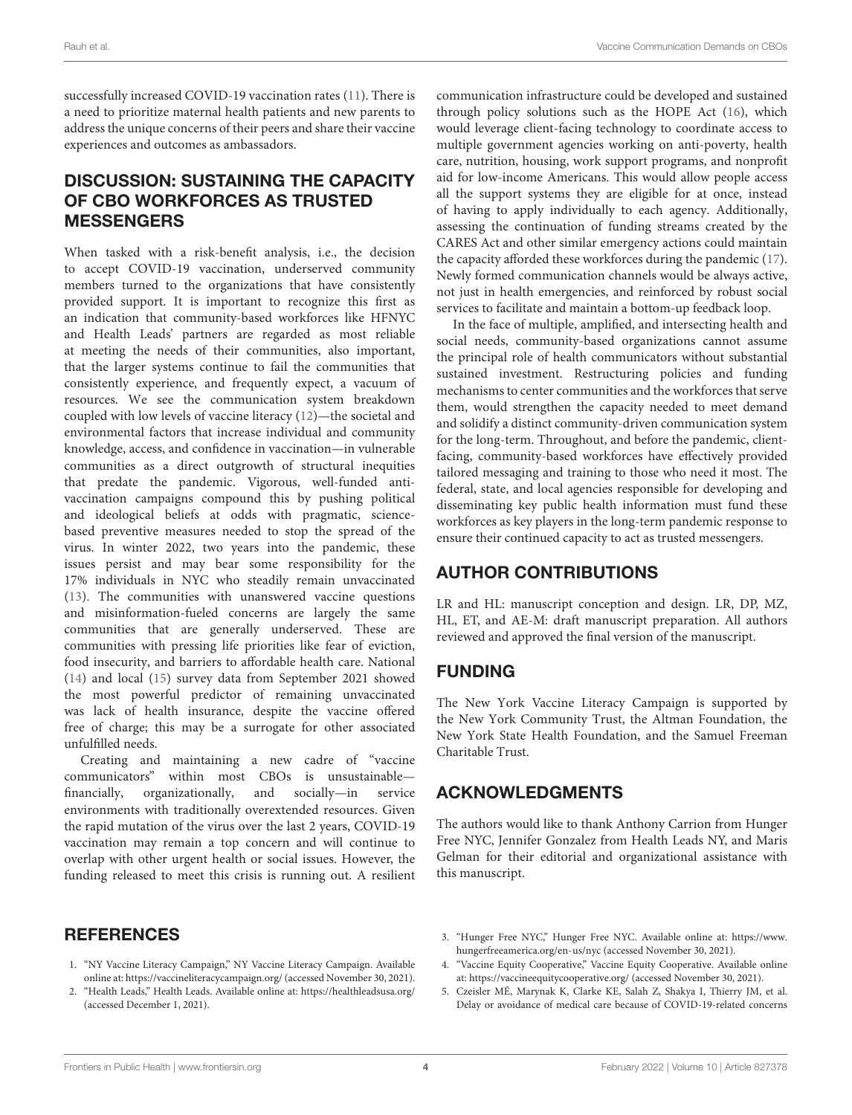successfully increased COVID-19 vaccination rates [\(11\)](#page-4-5). There is a need to prioritize maternal health patients and new parents to address the unique concerns of their peers and share their vaccine experiences and outcomes as ambassadors.

# DISCUSSION: SUSTAINING THE CAPACITY OF CBO WORKFORCES AS TRUSTED MESSENGERS

When tasked with a risk-benefit analysis, i.e., the decision to accept COVID-19 vaccination, underserved community members turned to the organizations that have consistently provided support. It is important to recognize this first as an indication that community-based workforces like HFNYC and Health Leads' partners are regarded as most reliable at meeting the needs of their communities, also important, that the larger systems continue to fail the communities that consistently experience, and frequently expect, a vacuum of resources. We see the communication system breakdown coupled with low levels of vaccine literacy [\(12\)](#page-4-6)—the societal and environmental factors that increase individual and community knowledge, access, and confidence in vaccination—in vulnerable communities as a direct outgrowth of structural inequities that predate the pandemic. Vigorous, well-funded antivaccination campaigns compound this by pushing political and ideological beliefs at odds with pragmatic, sciencebased preventive measures needed to stop the spread of the virus. In winter 2022, two years into the pandemic, these issues persist and may bear some responsibility for the 17% individuals in NYC who steadily remain unvaccinated [\(13\)](#page-4-7). The communities with unanswered vaccine questions and misinformation-fueled concerns are largely the same communities that are generally underserved. These are communities with pressing life priorities like fear of eviction, food insecurity, and barriers to affordable health care. National [\(14\)](#page-4-8) and local [\(15\)](#page-4-9) survey data from September 2021 showed the most powerful predictor of remaining unvaccinated was lack of health insurance, despite the vaccine offered free of charge; this may be a surrogate for other associated unfulfilled needs.

Creating and maintaining a new cadre of "vaccine communicators" within most CBOs is unsustainable financially, organizationally, and socially—in service environments with traditionally overextended resources. Given the rapid mutation of the virus over the last 2 years, COVID-19 vaccination may remain a top concern and will continue to overlap with other urgent health or social issues. However, the funding released to meet this crisis is running out. A resilient communication infrastructure could be developed and sustained through policy solutions such as the HOPE Act [\(16\)](#page-4-10), which would leverage client-facing technology to coordinate access to multiple government agencies working on anti-poverty, health care, nutrition, housing, work support programs, and nonprofit aid for low-income Americans. This would allow people access all the support systems they are eligible for at once, instead of having to apply individually to each agency. Additionally, assessing the continuation of funding streams created by the CARES Act and other similar emergency actions could maintain the capacity afforded these workforces during the pandemic [\(17\)](#page-4-11). Newly formed communication channels would be always active, not just in health emergencies, and reinforced by robust social services to facilitate and maintain a bottom-up feedback loop.

In the face of multiple, amplified, and intersecting health and social needs, community-based organizations cannot assume the principal role of health communicators without substantial sustained investment. Restructuring policies and funding mechanisms to center communities and the workforces that serve them, would strengthen the capacity needed to meet demand and solidify a distinct community-driven communication system for the long-term. Throughout, and before the pandemic, clientfacing, community-based workforces have effectively provided tailored messaging and training to those who need it most. The federal, state, and local agencies responsible for developing and disseminating key public health information must fund these workforces as key players in the long-term pandemic response to ensure their continued capacity to act as trusted messengers.

## AUTHOR CONTRIBUTIONS

LR and HL: manuscript conception and design. LR, DP, MZ, HL, ET, and AE-M: draft manuscript preparation. All authors reviewed and approved the final version of the manuscript.

## FUNDING

The New York Vaccine Literacy Campaign is supported by the New York Community Trust, the Altman Foundation, the New York State Health Foundation, and the Samuel Freeman Charitable Trust.

## ACKNOWLEDGMENTS

The authors would like to thank Anthony Carrion from Hunger Free NYC, Jennifer Gonzalez from Health Leads NY, and Maris Gelman for their editorial and organizational assistance with this manuscript.

## **REFERENCES**

- <span id="page-3-0"></span>1. "NY Vaccine Literacy Campaign," NY Vaccine Literacy Campaign. Available online at:<https://vaccineliteracycampaign.org/> (accessed November 30, 2021).
- <span id="page-3-1"></span>2. "Health Leads," Health Leads. Available online at:<https://healthleadsusa.org/> (accessed December 1, 2021).
- <span id="page-3-2"></span>3. "Hunger Free NYC," Hunger Free NYC. Available online at: [https://www.](https://www.hungerfreeamerica.org/en-us/nyc) [hungerfreeamerica.org/en-us/nyc](https://www.hungerfreeamerica.org/en-us/nyc) (accessed November 30, 2021).
- <span id="page-3-3"></span>4. "Vaccine Equity Cooperative," Vaccine Equity Cooperative. Available online at:<https://vaccineequitycooperative.org/> (accessed November 30, 2021).
- <span id="page-3-4"></span>5. Czeisler MÉ, Marynak K, Clarke KE, Salah Z, Shakya I, Thierry JM, et al. Delay or avoidance of medical care because of COVID-19-related concerns